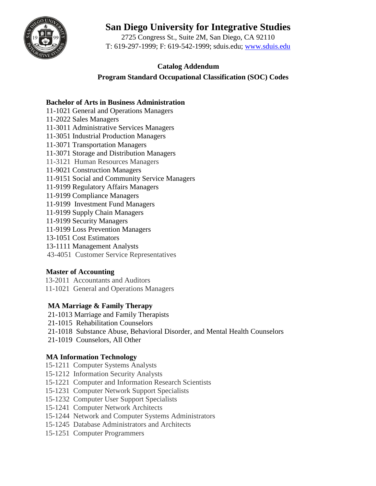

# **San Diego University for Integrative Studies**

2725 Congress St., Suite 2M, San Diego, CA 92110 T: 619-297-1999; F: 619-542-1999; sduis.edu; [www.sduis.edu](http://www.sduis.edu/)

# **Catalog Addendum**

 **Program Standard Occupational Classification (SOC) Codes**

### **Bachelor of Arts in Business Administration**

- 11-1021 General and Operations Managers
- 11-2022 Sales Managers
- 11-3011 Administrative Services Managers
- 11-3051 Industrial Production Managers
- 11-3071 Transportation Managers
- 11-3071 Storage and Distribution Managers
- 11-3121 Human Resources Managers
- 11-9021 Construction Managers
- 11-9151 Social and Community Service Managers
- 11-9199 Regulatory Affairs Managers
- 11-9199 Compliance Managers
- 11-9199 Investment Fund Managers
- 11-9199 Supply Chain Managers
- 11-9199 Security Managers
- 11-9199 Loss Prevention Managers
- 13-1051 Cost Estimators
- 13-1111 Management Analysts
- 43-4051 Customer Service Representatives

### **Master of Accounting**

13-2011 Accountants and Auditors 11-1021 General and Operations Managers

# **MA Marriage & Family Therapy**

- 21-1013 Marriage and Family Therapists
- 21-1015 Rehabilitation Counselors
- 21-1018 Substance Abuse, Behavioral Disorder, and Mental Health Counselors
- 21-1019 Counselors, All Other

### **MA Information Technology**

- 15-1211 Computer Systems Analysts
- 15-1212 Information Security Analysts
- 15-1221 Computer and Information Research Scientists
- 15-1231 Computer Network Support Specialists
- 15-1232 Computer User Support Specialists
- 15-1241 Computer Network Architects
- 15-1244 Network and Computer Systems Administrators
- 15-1245 Database Administrators and Architects
- 15-1251 Computer Programmers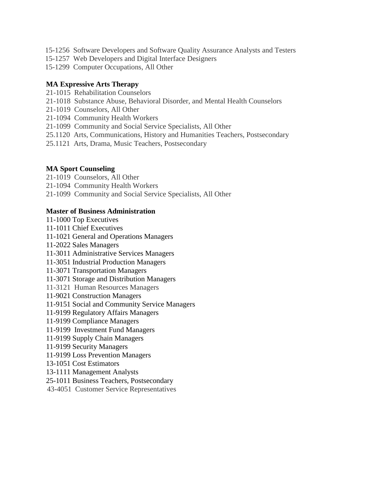- 15-1256 Software Developers and Software Quality Assurance Analysts and Testers
- 15-1257 Web Developers and Digital Interface Designers
- 15-1299 Computer Occupations, All Other

#### **MA Expressive Arts Therapy**

- 21-1015 Rehabilitation Counselors
- 21-1018 Substance Abuse, Behavioral Disorder, and Mental Health Counselors
- 21-1019 Counselors, All Other
- 21-1094 Community Health Workers
- 21-1099 Community and Social Service Specialists, All Other
- 25.1120 Arts, Communications, History and Humanities Teachers, Postsecondary
- 25.1121 Arts, Drama, Music Teachers, Postsecondary

#### **MA Sport Counseling**

- 21-1019 Counselors, All Other
- 21-1094 Community Health Workers
- 21-1099 Community and Social Service Specialists, All Other

#### **Master of Business Administration**

- 11-1000 Top Executives 11-1011 Chief Executives 11-1021 General and Operations Managers 11-2022 Sales Managers 11-3011 Administrative Services Managers
- 11-3051 Industrial Production Managers
- 11-3071 Transportation Managers
- 11-3071 Storage and Distribution Managers
- 
- 11-3121 Human Resources Managers
- 11-9021 Construction Managers
- 11-9151 Social and Community Service Managers
- 11-9199 Regulatory Affairs Managers
- 11-9199 Compliance Managers
- 11-9199 Investment Fund Managers
- 11-9199 Supply Chain Managers
- 11-9199 Security Managers
- 11-9199 Loss Prevention Managers
- 13-1051 Cost Estimators
- 13-1111 Management Analysts
- 25-1011 Business Teachers, Postsecondary
- 43-4051 Customer Service Representatives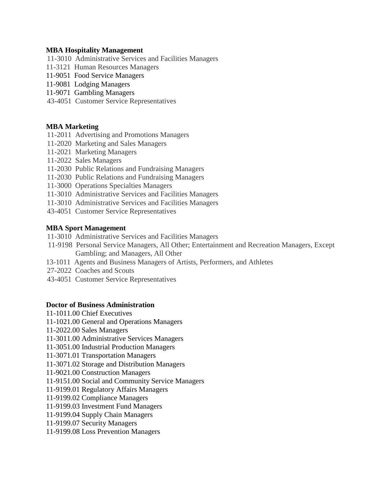#### **MBA Hospitality Management**

- 11-3010 Administrative Services and Facilities Managers
- 11-3121 Human Resources Managers
- 11-9051 Food Service Managers
- 11-9081 Lodging Managers
- 11-9071 Gambling Managers
- 43-4051 Customer Service Representatives

# **MBA Marketing**

- 11-2011 Advertising and Promotions Managers
- 11-2020 Marketing and Sales Managers
- 11-2021 Marketing Managers
- 11-2022 Sales Managers
- 11-2030 Public Relations and Fundraising Managers
- 11-2030 Public Relations and Fundraising Managers
- 11-3000 Operations Specialties Managers
- 11-3010 Administrative Services and Facilities Managers
- 11-3010 Administrative Services and Facilities Managers
- 43-4051 Customer Service Representatives

# **MBA Sport Management**

- 11-3010 Administrative Services and Facilities Managers
- 11-9198 Personal Service Managers, All Other; Entertainment and Recreation Managers, Except Gambling; and Managers, All Other
- 13-1011 Agents and Business Managers of Artists, Performers, and Athletes
- 27-2022 Coaches and Scouts
- 43-4051 Customer Service Representatives

# **Doctor of Business Administration**

- 11-1011.00 Chief Executives
- 11-1021.00 General and Operations Managers
- 11-2022.00 Sales Managers
- 11-3011.00 Administrative Services Managers
- 11-3051.00 Industrial Production Managers
- 11-3071.01 Transportation Managers
- 11-3071.02 Storage and Distribution Managers
- 11-9021.00 Construction Managers
- 11-9151.00 Social and Community Service Managers
- 11-9199.01 Regulatory Affairs Managers
- 11-9199.02 Compliance Managers
- 11-9199.03 Investment Fund Managers
- 11-9199.04 Supply Chain Managers
- 11-9199.07 Security Managers
- 11-9199.08 Loss Prevention Managers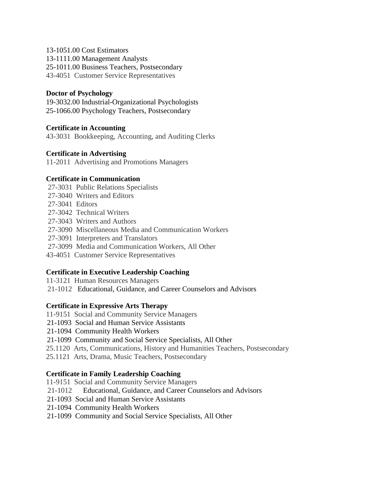#### 13-1051.00 Cost Estimators

13-1111.00 Management Analysts

25-1011.00 Business Teachers, Postsecondary

43-4051 Customer Service Representatives

### **Doctor of Psychology**

19-3032.00 Industrial-Organizational Psychologists 25-1066.00 Psychology Teachers, Postsecondary

### **Certificate in Accounting**

43-3031 Bookkeeping, Accounting, and Auditing Clerks

### **Certificate in Advertising**

11-2011 Advertising and Promotions Managers

### **Certificate in Communication**

- 27-3031 Public Relations Specialists
- 2 27-3040 Writers and Editors
- 27-3041 Editors
- 27-3042 Technical Writers
- 27-3043 Writers and Authors
- 2 27-3090 Miscellaneous Media and Communication Workers
- 27-3091 Interpreters and Translators
- 27-3099 Media and Communication Workers, All Other
- 43-4051 Customer Service Representatives

### **Certificate in Executive Leadership Coaching**

11-3121 Human Resources Managers 21-1012 Educational, Guidance, and Career Counselors and Advisors

### **Certificate in Expressive Arts Therapy**

11-9151 Social and Community Service Managers

- 21-1093 Social and Human Service Assistants
- 21-1094 Community Health Workers

21-1099 Community and Social Service Specialists, All Other

25.1120 Arts, Communications, History and Humanities Teachers, Postsecondary

25.1121 Arts, Drama, Music Teachers, Postsecondary

### **Certificate in Family Leadership Coaching**

- 11-9151 Social and Community Service Managers
- 21-1012 Educational, Guidance, and Career Counselors and Advisors
- 21-1093 Social and Human Service Assistants
- 21-1094 Community Health Workers
- 21-1099 Community and Social Service Specialists, All Other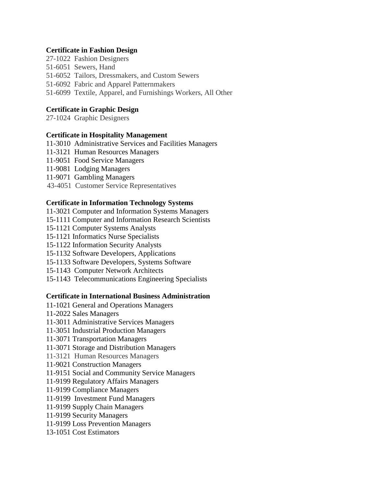#### **Certificate in Fashion Design**

- 27-1022 Fashion Designers
- 51-6051 Sewers, Hand
- 51-6052 Tailors, Dressmakers, and Custom Sewers
- 51-6092 Fabric and Apparel Patternmakers
- 51-6099 Textile, Apparel, and Furnishings Workers, All Other

### **Certificate in Graphic Design**

27-1024 Graphic Designers

### **Certificate in Hospitality Management**

- 11-3010 Administrative Services and Facilities Managers
- 11-3121 Human Resources Managers
- 11-9051 Food Service Managers
- 11-9081 Lodging Managers
- 11-9071 Gambling Managers
- 43-4051 Customer Service Representatives

### **Certificate in Information Technology Systems**

- 11-3021 Computer and Information Systems Managers
- 15-1111 Computer and Information Research Scientists
- 15-1121 Computer Systems Analysts
- 15-1121 Informatics Nurse Specialists
- 15-1122 Information Security Analysts
- 15-1132 Software Developers, Applications
- 15-1133 Software Developers, Systems Software
- 15-1143 Computer Network Architects
- 15-1143 Telecommunications Engineering Specialists

### **Certificate in International Business Administration**

- 11-1021 General and Operations Managers
- 11-2022 Sales Managers
- 11-3011 Administrative Services Managers
- 11-3051 Industrial Production Managers
- 11-3071 Transportation Managers
- 11-3071 Storage and Distribution Managers
- 11-3121 Human Resources Managers
- 11-9021 Construction Managers
- 11-9151 Social and Community Service Managers
- 11-9199 Regulatory Affairs Managers
- 11-9199 Compliance Managers
- 11-9199 Investment Fund Managers
- 11-9199 Supply Chain Managers
- 11-9199 Security Managers
- 11-9199 Loss Prevention Managers
- 13-1051 Cost Estimators